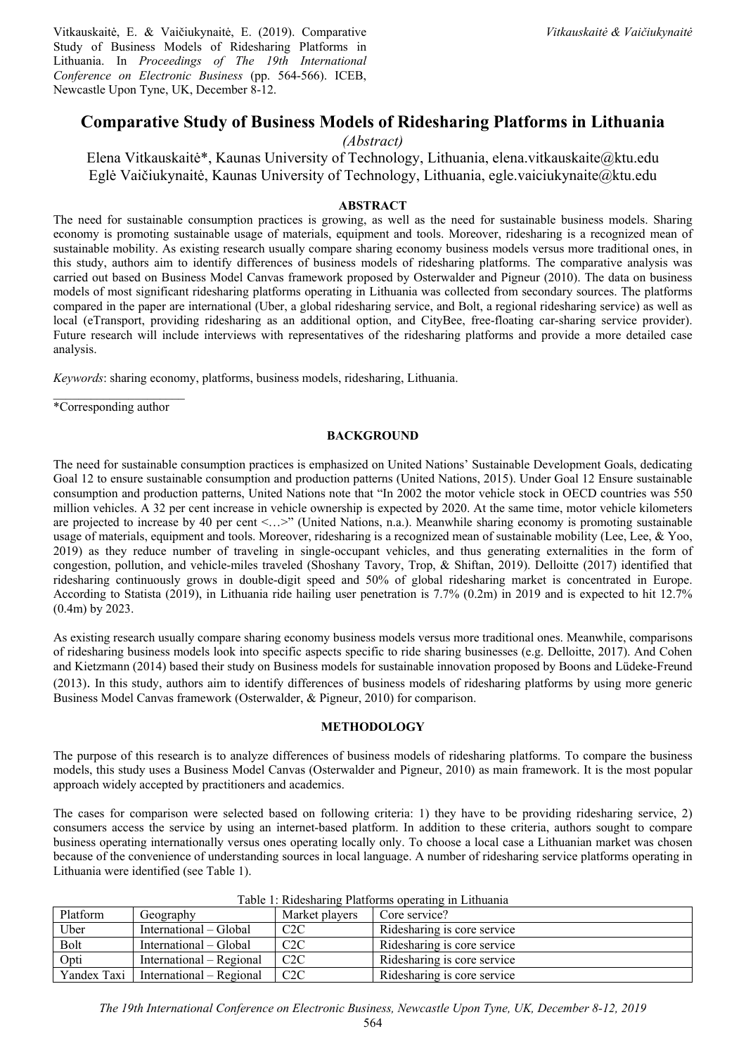Vitkauskaitė, E. & Vaičiukynaitė, E. (2019). Comparative Study of Business Models of Ridesharing Platforms in Lithuania. In *Proceedings of The 19th International Conference on Electronic Business* (pp. 564-566). ICEB, Newcastle Upon Tyne, UK, December 8-12.

# **Comparative Study of Business Models of Ridesharing Platforms in Lithuania**

*(Abstract)* 

Elena Vitkauskaitė\*, Kaunas University of Technology, Lithuania, elena.vitkauskaite@ktu.edu Eglė Vaičiukynaitė, Kaunas University of Technology, Lithuania, egle.vaiciukynaite@ktu.edu

## **ABSTRACT**

The need for sustainable consumption practices is growing, as well as the need for sustainable business models. Sharing economy is promoting sustainable usage of materials, equipment and tools. Moreover, ridesharing is a recognized mean of sustainable mobility. As existing research usually compare sharing economy business models versus more traditional ones, in this study, authors aim to identify differences of business models of ridesharing platforms. The comparative analysis was carried out based on Business Model Canvas framework proposed by Osterwalder and Pigneur (2010). The data on business models of most significant ridesharing platforms operating in Lithuania was collected from secondary sources. The platforms compared in the paper are international (Uber, a global ridesharing service, and Bolt, a regional ridesharing service) as well as local (eTransport, providing ridesharing as an additional option, and CityBee, free-floating car-sharing service provider). Future research will include interviews with representatives of the ridesharing platforms and provide a more detailed case analysis.

*Keywords*: sharing economy, platforms, business models, ridesharing, Lithuania.

 $\mathcal{L}_\text{max}$ \*Corresponding author

## **BACKGROUND**

The need for sustainable consumption practices is emphasized on United Nations' Sustainable Development Goals, dedicating Goal 12 to ensure sustainable consumption and production patterns (United Nations, 2015). Under Goal 12 Ensure sustainable consumption and production patterns, United Nations note that "In 2002 the motor vehicle stock in OECD countries was 550 million vehicles. A 32 per cent increase in vehicle ownership is expected by 2020. At the same time, motor vehicle kilometers are projected to increase by 40 per cent <…>" (United Nations, n.a.). Meanwhile sharing economy is promoting sustainable usage of materials, equipment and tools. Moreover, ridesharing is a recognized mean of sustainable mobility (Lee, Lee, & Yoo, 2019) as they reduce number of traveling in single-occupant vehicles, and thus generating externalities in the form of congestion, pollution, and vehicle-miles traveled (Shoshany Tavory, Trop, & Shiftan, 2019). Delloitte (2017) identified that ridesharing continuously grows in double-digit speed and 50% of global ridesharing market is concentrated in Europe. According to Statista (2019), in Lithuania ride hailing user penetration is 7.7% (0.2m) in 2019 and is expected to hit 12.7% (0.4m) by 2023.

As existing research usually compare sharing economy business models versus more traditional ones. Meanwhile, comparisons of ridesharing business models look into specific aspects specific to ride sharing businesses (e.g. Delloitte, 2017). And Cohen and Kietzmann (2014) based their study on Business models for sustainable innovation proposed by Boons and Lüdeke-Freund (2013). In this study, authors aim to identify differences of business models of ridesharing platforms by using more generic Business Model Canvas framework (Osterwalder, & Pigneur, 2010) for comparison.

#### **METHODOLOGY**

The purpose of this research is to analyze differences of business models of ridesharing platforms. To compare the business models, this study uses a Business Model Canvas (Osterwalder and Pigneur, 2010) as main framework. It is the most popular approach widely accepted by practitioners and academics.

The cases for comparison were selected based on following criteria: 1) they have to be providing ridesharing service, 2) consumers access the service by using an internet-based platform. In addition to these criteria, authors sought to compare business operating internationally versus ones operating locally only. To choose a local case a Lithuanian market was chosen because of the convenience of understanding sources in local language. A number of ridesharing service platforms operating in Lithuania were identified (see Table 1).

| Platform    | Geography                | Market players | Core service?               |
|-------------|--------------------------|----------------|-----------------------------|
| Uber        | International – Global   | C2C            | Ridesharing is core service |
| Bolt        | International – Global   | C2C            | Ridesharing is core service |
| Opti        | International – Regional | C2C            | Ridesharing is core service |
| Yandex Taxi | International – Regional | C2C            | Ridesharing is core service |

Table 1: Ridesharing Platforms operating in Lithuania

*The 19th International Conference on Electronic Business, Newcastle Upon Tyne, UK, December 8-12, 2019*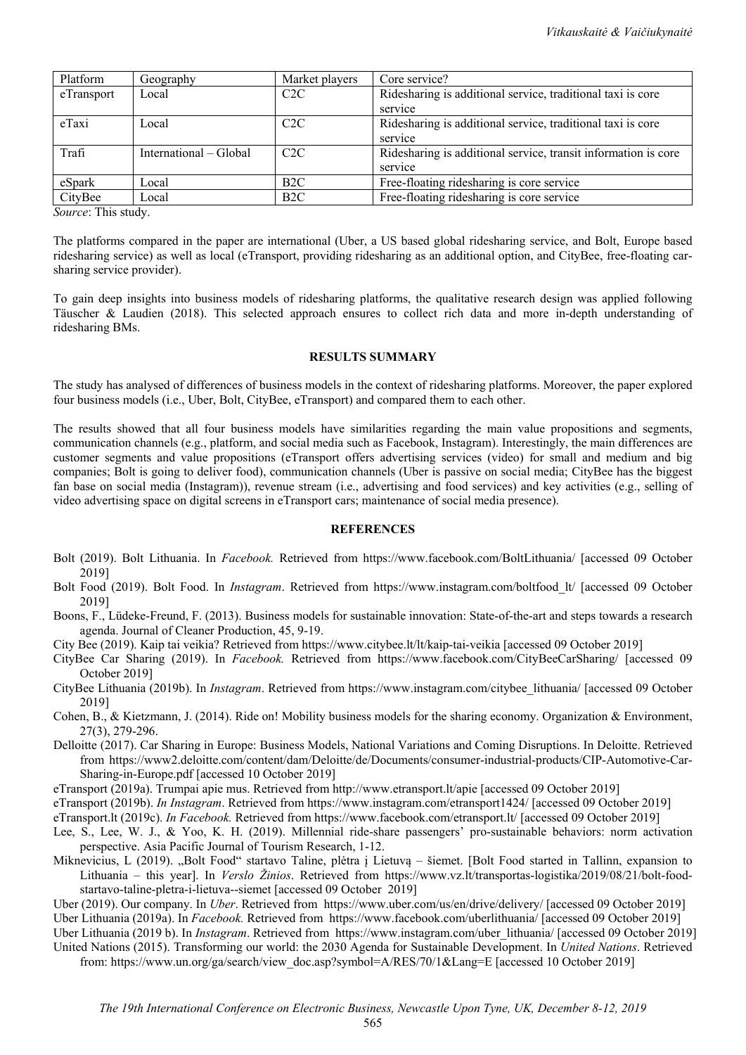| Platform   | Geography              | Market players   | Core service?                                                  |
|------------|------------------------|------------------|----------------------------------------------------------------|
| eTransport | Local                  | C2C              | Ridesharing is additional service, traditional taxi is core    |
|            |                        |                  | service                                                        |
| eTaxi      | Local                  | C2C              | Ridesharing is additional service, traditional taxi is core    |
|            |                        |                  | service                                                        |
| Trafi      | International – Global | C2C              | Ridesharing is additional service, transit information is core |
|            |                        |                  | service                                                        |
| eSpark     | Local                  | B2C              | Free-floating ridesharing is core service                      |
| CityBee    | Local                  | B <sub>2</sub> C | Free-floating ridesharing is core service                      |

*Source*: This study.

The platforms compared in the paper are international (Uber, a US based global ridesharing service, and Bolt, Europe based ridesharing service) as well as local (eTransport, providing ridesharing as an additional option, and CityBee, free-floating carsharing service provider).

To gain deep insights into business models of ridesharing platforms, the qualitative research design was applied following Täuscher & Laudien (2018). This selected approach ensures to collect rich data and more in-depth understanding of ridesharing BMs.

#### **RESULTS SUMMARY**

The study has analysed of differences of business models in the context of ridesharing platforms. Moreover, the paper explored four business models (i.e., Uber, Bolt, CityBee, eTransport) and compared them to each other.

The results showed that all four business models have similarities regarding the main value propositions and segments, communication channels (e.g., platform, and social media such as Facebook, Instagram). Interestingly, the main differences are customer segments and value propositions (eTransport offers advertising services (video) for small and medium and big companies; Bolt is going to deliver food), communication channels (Uber is passive on social media; CityBee has the biggest fan base on social media (Instagram)), revenue stream (i.e., advertising and food services) and key activities (e.g., selling of video advertising space on digital screens in eTransport cars; maintenance of social media presence).

### **REFERENCES**

- Bolt (2019). Bolt Lithuania. In *Facebook.* Retrieved from https://www.facebook.com/BoltLithuania/ [accessed 09 October 2019]
- Bolt Food (2019). Bolt Food. In *Instagram*. Retrieved from https://www.instagram.com/boltfood\_lt/ [accessed 09 October 2019]
- Boons, F., Lüdeke-Freund, F. (2013). Business models for sustainable innovation: State-of-the-art and steps towards a research agenda. Journal of Cleaner Production, 45, 9-19.
- City Bee (2019). Kaip tai veikia? Retrieved from https://www.citybee.lt/lt/kaip-tai-veikia [accessed 09 October 2019]
- CityBee Car Sharing (2019). In *Facebook.* Retrieved from https://www.facebook.com/CityBeeCarSharing/ [accessed 09 October 2019]
- CityBee Lithuania (2019b). In *Instagram*. Retrieved from https://www.instagram.com/citybee\_lithuania/ [accessed 09 October 2019]
- Cohen, B., & Kietzmann, J. (2014). Ride on! Mobility business models for the sharing economy. Organization & Environment, 27(3), 279-296.
- Delloitte (2017). Car Sharing in Europe: Business Models, National Variations and Coming Disruptions. In Deloitte. Retrieved from https://www2.deloitte.com/content/dam/Deloitte/de/Documents/consumer-industrial-products/CIP-Automotive-Car-Sharing-in-Europe.pdf [accessed 10 October 2019]
- eTransport (2019a). Trumpai apie mus. Retrieved from http://www.etransport.lt/apie [accessed 09 October 2019]
- eTransport (2019b). *In Instagram*. Retrieved from https://www.instagram.com/etransport1424/ [accessed 09 October 2019]
- eTransport.lt (2019c). *In Facebook.* Retrieved from https://www.facebook.com/etransport.lt/ [accessed 09 October 2019]
- Lee, S., Lee, W. J., & Yoo, K. H. (2019). Millennial ride-share passengers' pro-sustainable behaviors: norm activation perspective. Asia Pacific Journal of Tourism Research, 1-12.
- Miknevicius, L (2019). "Bolt Food" startavo Taline, plėtra į Lietuvą šiemet. [Bolt Food started in Tallinn, expansion to Lithuania – this year]. In *Verslo Žinios*. Retrieved from https://www.vz.lt/transportas-logistika/2019/08/21/bolt-foodstartavo-taline-pletra-i-lietuva--siemet [accessed 09 October 2019]
- Uber (2019). Our company. In *Uber*. Retrieved from https://www.uber.com/us/en/drive/delivery/ [accessed 09 October 2019] Uber Lithuania (2019a). In *Facebook.* Retrieved from https://www.facebook.com/uberlithuania/ [accessed 09 October 2019]

Uber Lithuania (2019 b). In *Instagram*. Retrieved from https://www.instagram.com/uber\_lithuania/ [accessed 09 October 2019]

United Nations (2015). Transforming our world: the 2030 Agenda for Sustainable Development. In *United Nations*. Retrieved from: https://www.un.org/ga/search/view\_doc.asp?symbol=A/RES/70/1&Lang=E [accessed 10 October 2019]

565